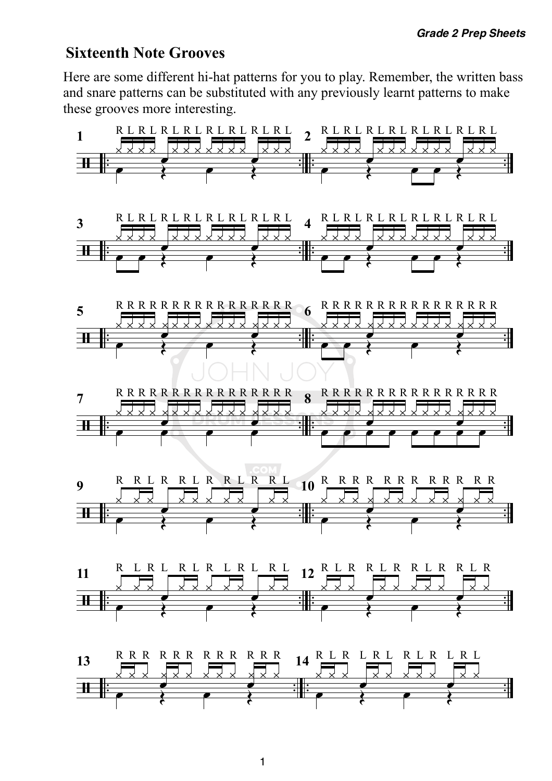## **Sixteenth Note Grooves**

Here are some different hi-hat patterns for you to play. Remember, the written bass and snare patterns can be substituted with any previously learnt patterns to make these grooves more interesting.

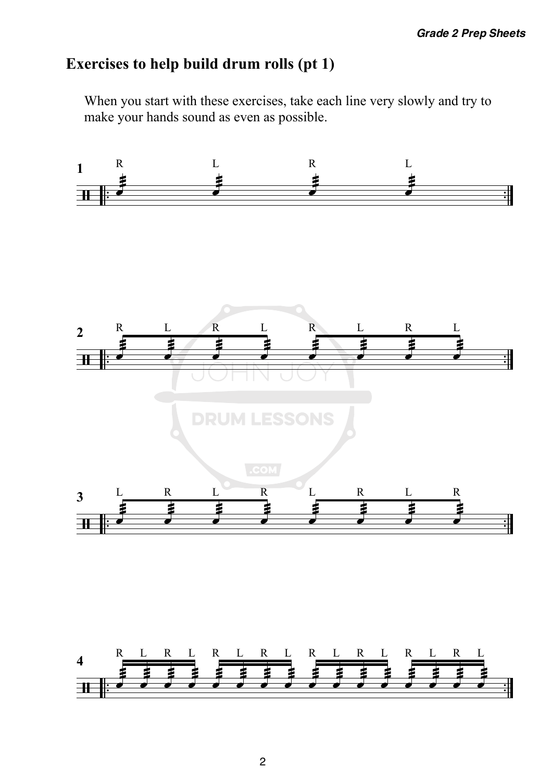# **Exercises to help build drum rolls (pt 1)**

When you start with these exercises, take each line very slowly and try to make your hands sound as even as possible.

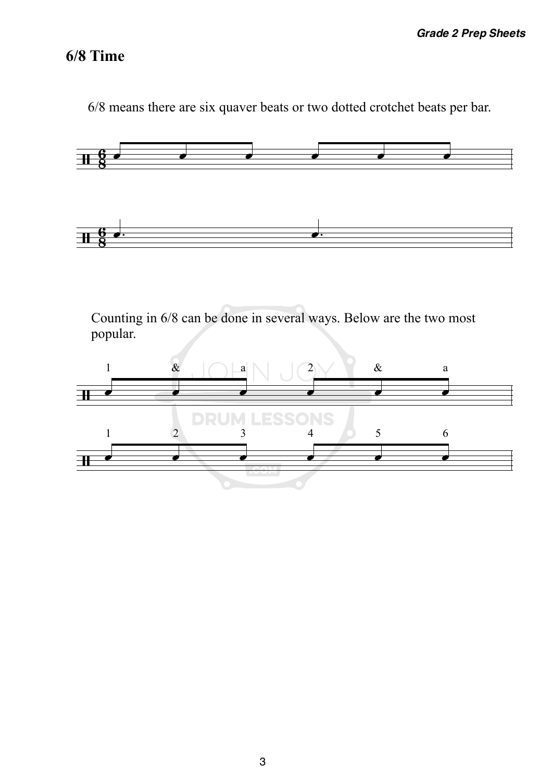# **6/8 Time**

6/8 means there are six quaver beats or two dotted crotchet beats per bar.



Counting in 6/8 can be done in several ways. Below are the two most popular.

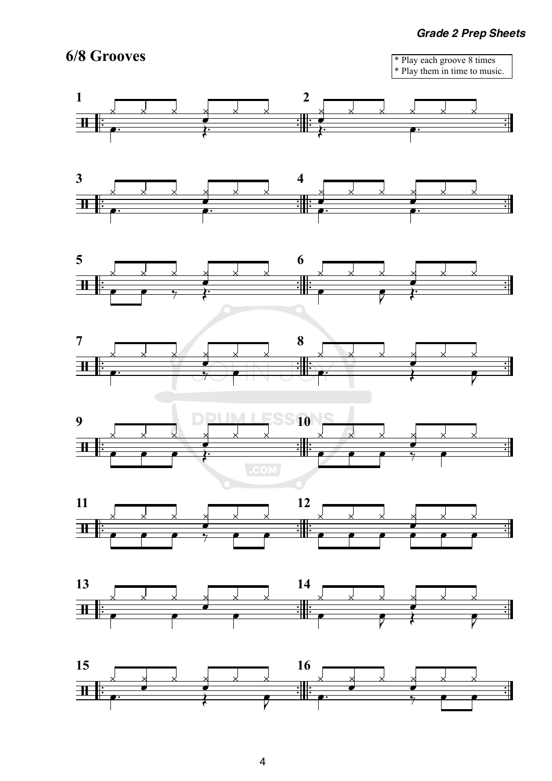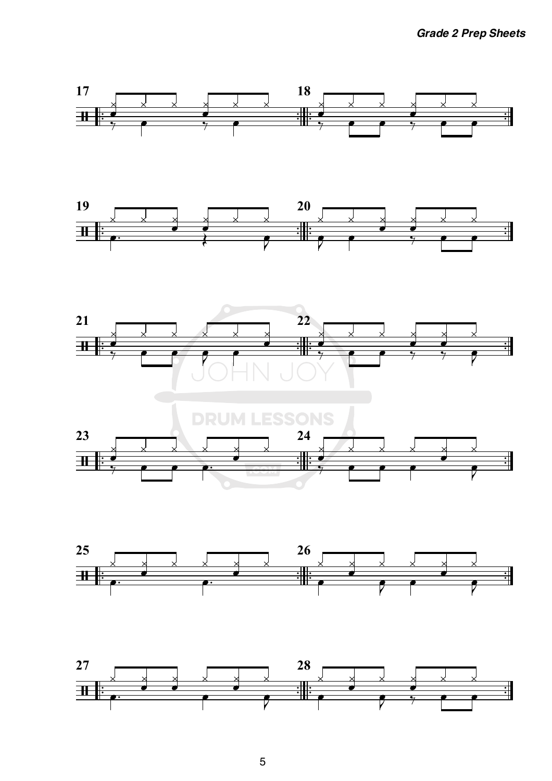







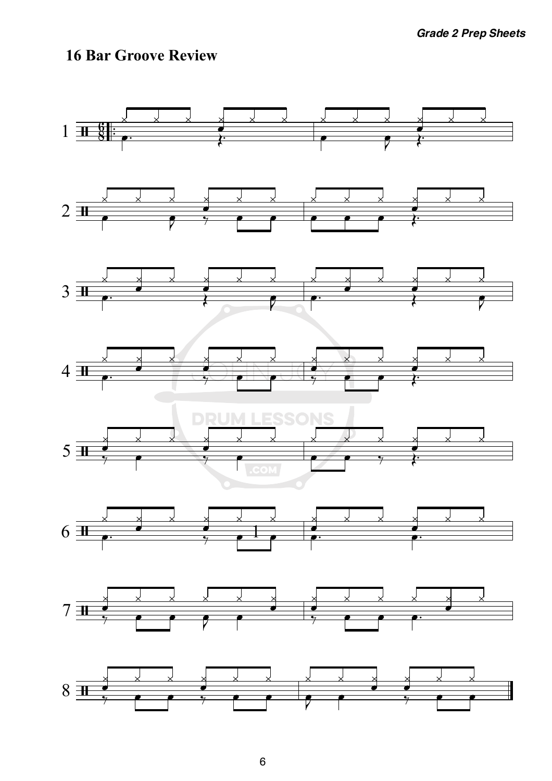# **16 Bar Groove Review**

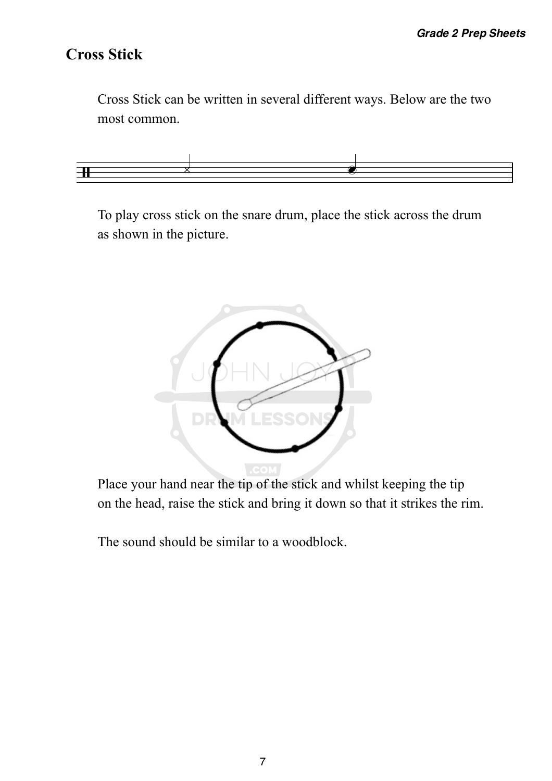## **Cross Stick**

Cross Stick can be written in several different ways. Below are the two most common.



To play cross stick on the snare drum, place the stick across the drum as shown in the picture.



Place your hand near the tip of the stick and whilst keeping the tip on the head, raise the stick and bring it down so that it strikes the rim.

The sound should be similar to a woodblock.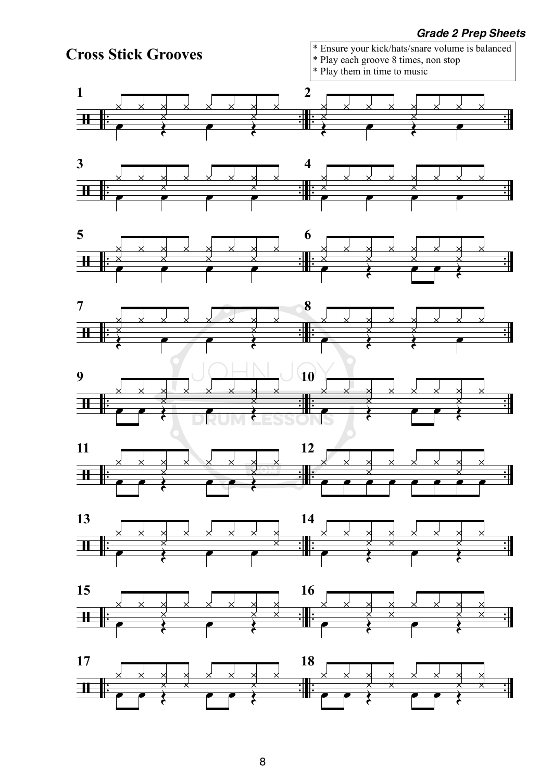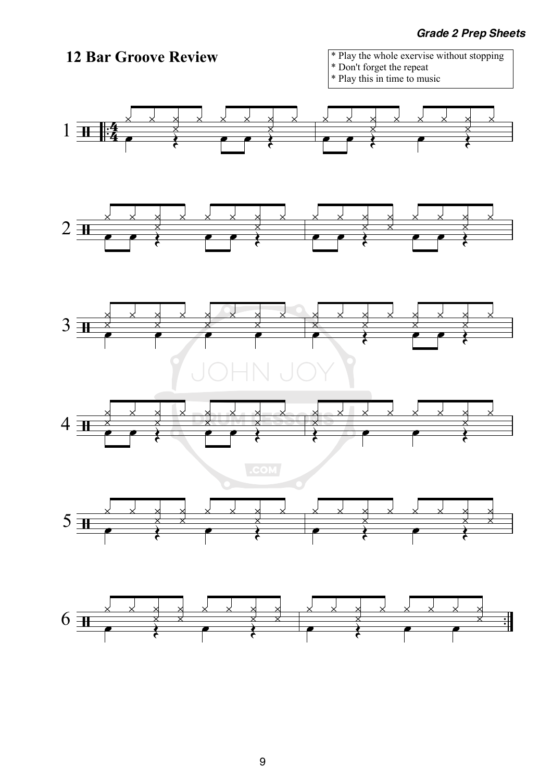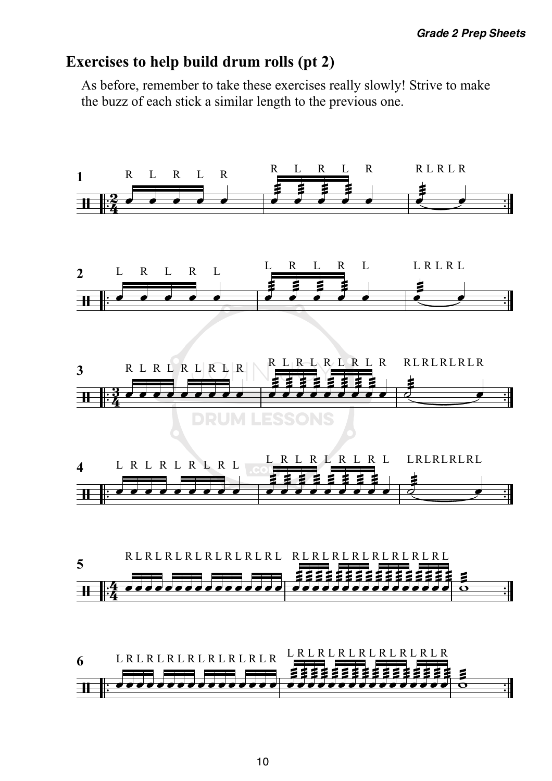## **Exercises to help build drum rolls (pt 2)**

As before, remember to take these exercises really slowly! Strive to make the buzz of each stick a similar length to the previous one.

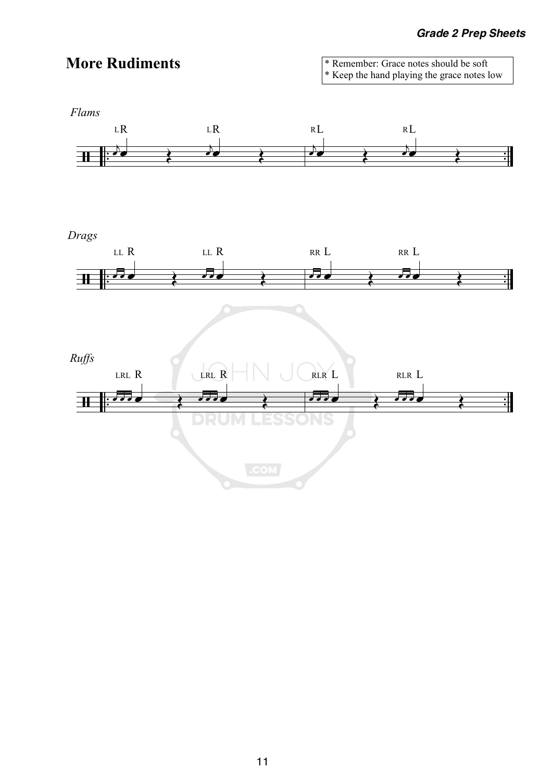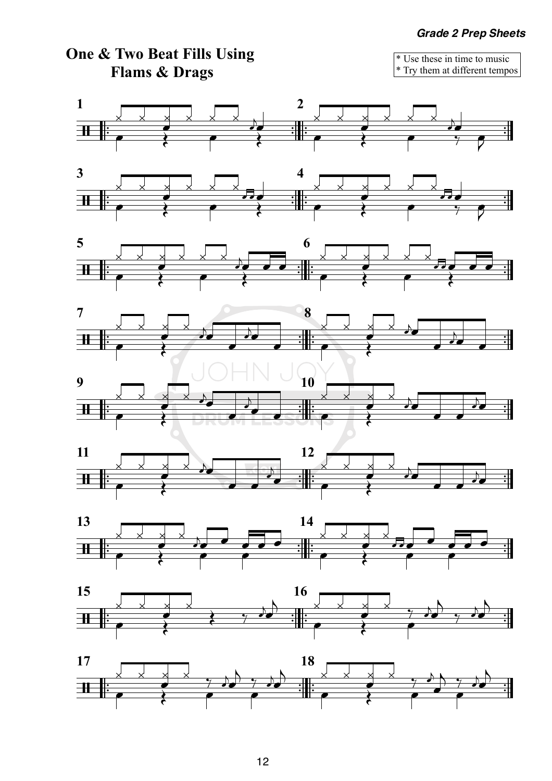

12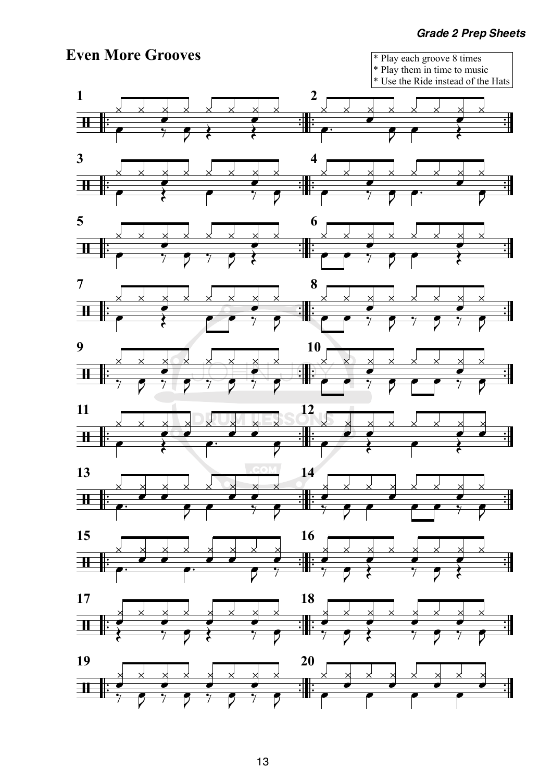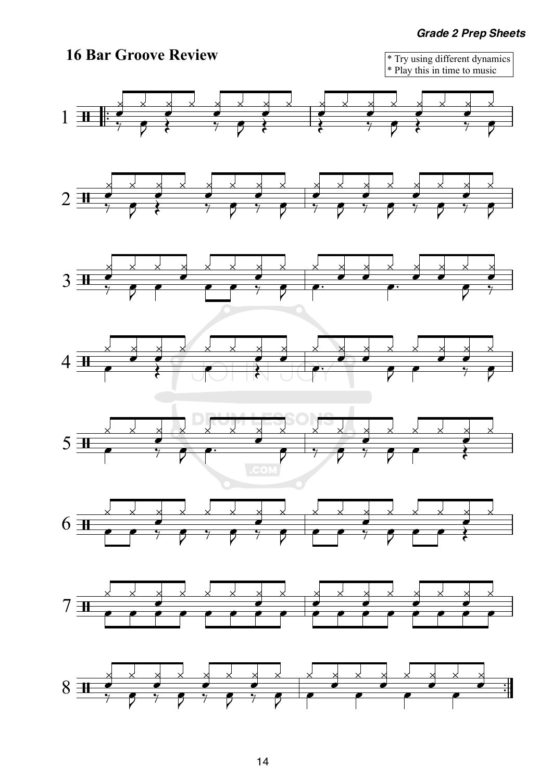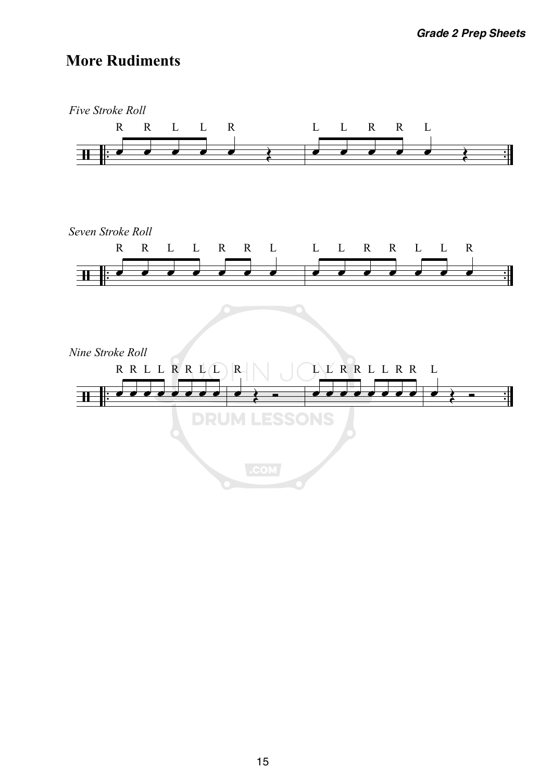## **More Rudiments**

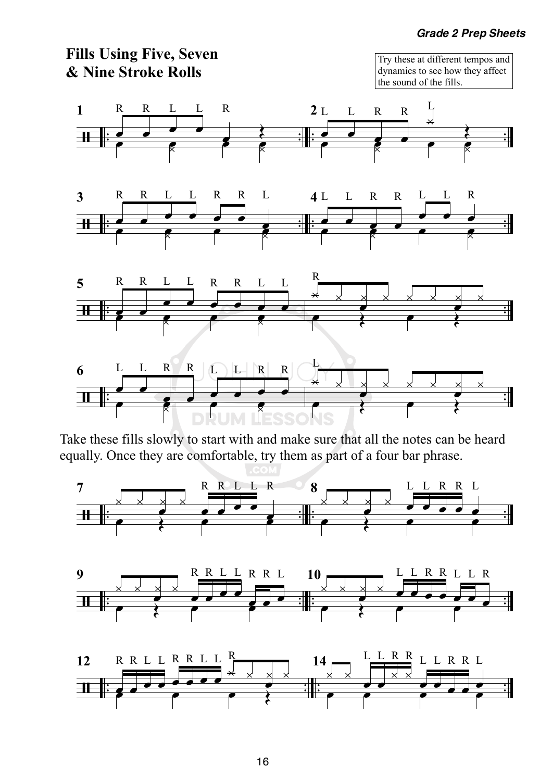



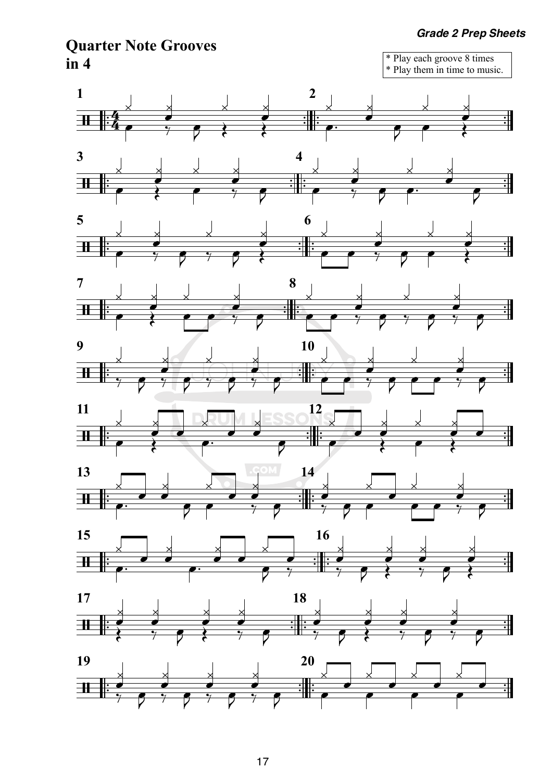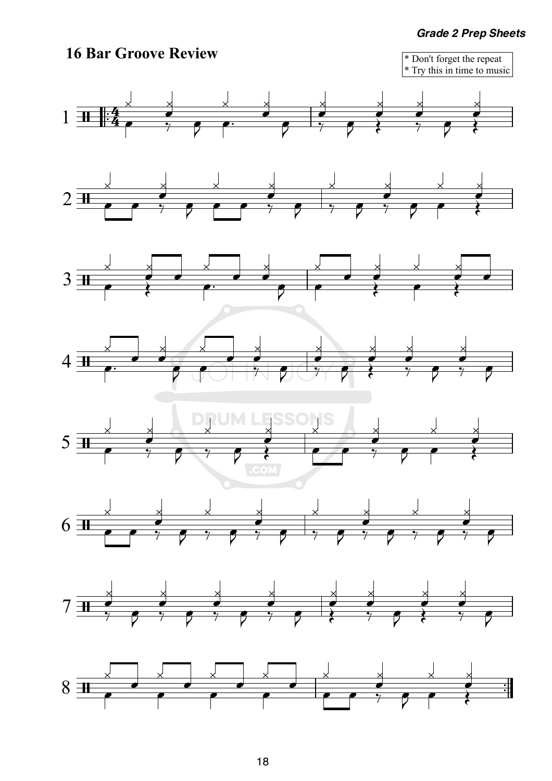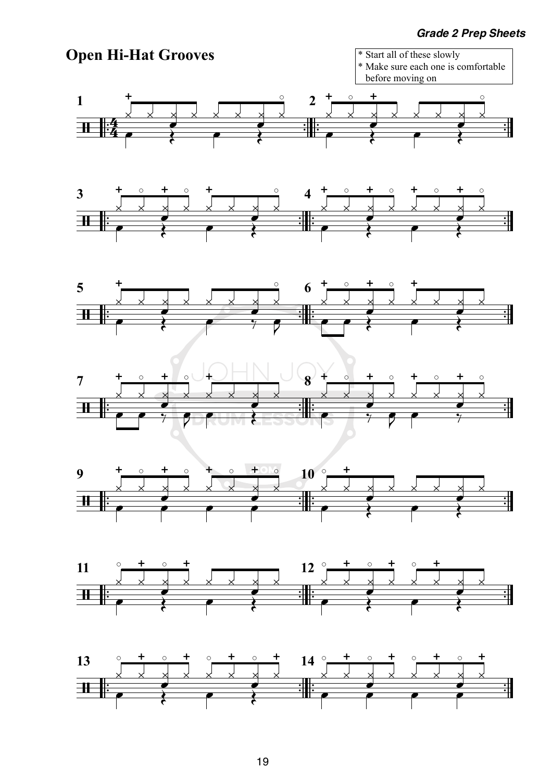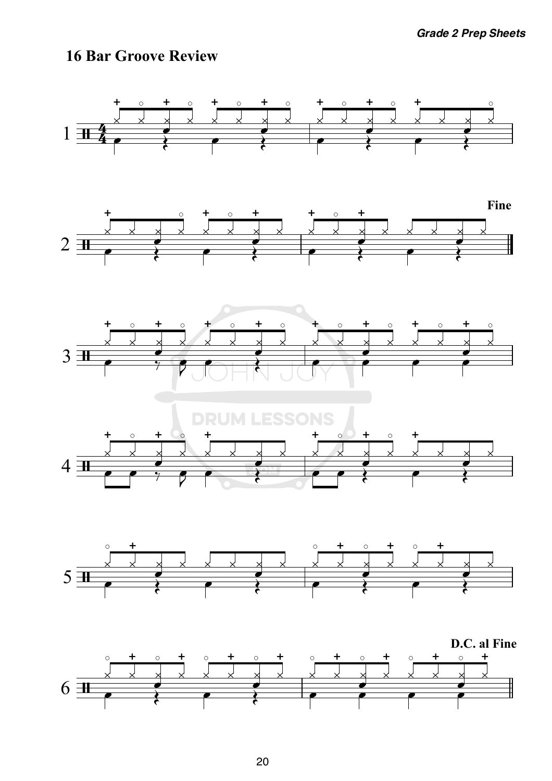### **16 Bar Groove Review**

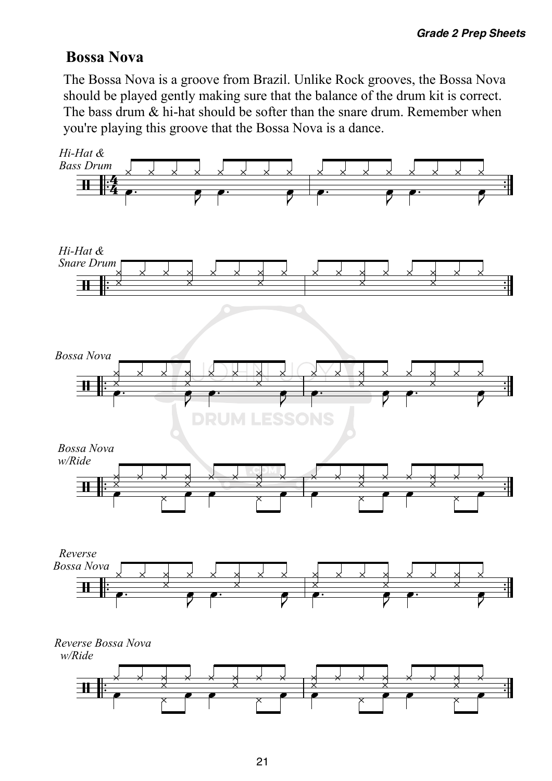# **Bossa Nova**

The Bossa Nova is a groove from Brazil. Unlike Rock grooves, the Bossa Nova should be played gently making sure that the balance of the drum kit is correct. The bass drum & hi-hat should be softer than the snare drum. Remember when you're playing this groove that the Bossa Nova is a dance.